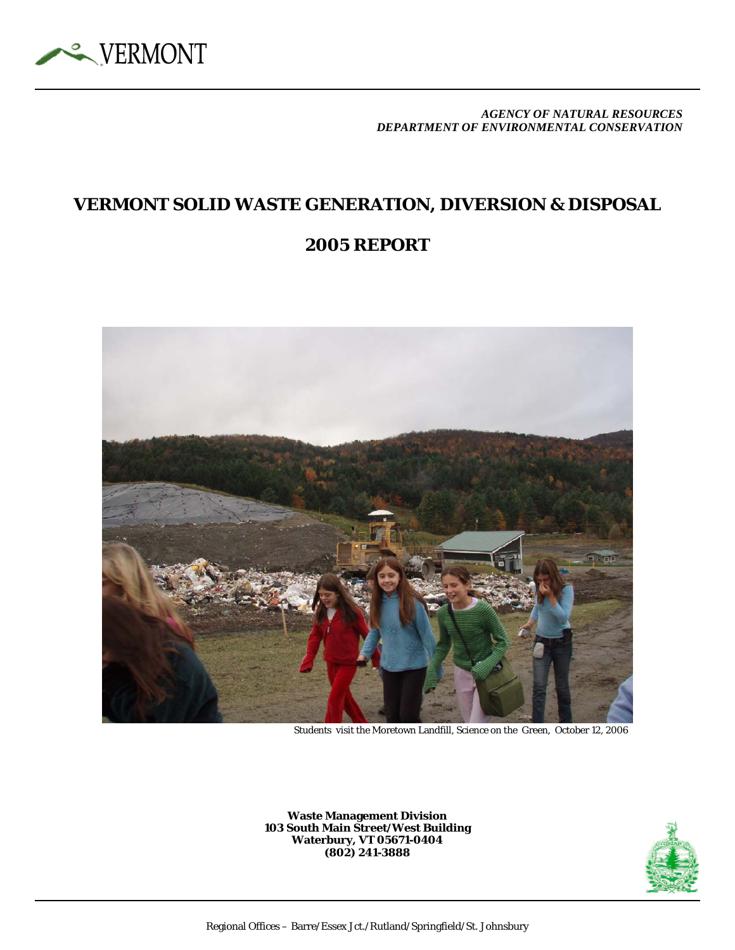

*AGENCY OF NATURAL RESOURCES DEPARTMENT OF ENVIRONMENTAL CONSERVATION*

### **VERMONT SOLID WASTE GENERATION, DIVERSION & DISPOSAL**

### **2005 REPORT**



Students visit the Moretown Landfill, Science on the Green, October 12, 2006

**Waste Management Division 103 South Main Street/West Building Waterbury, VT 05671-0404 (802) 241-3888** 

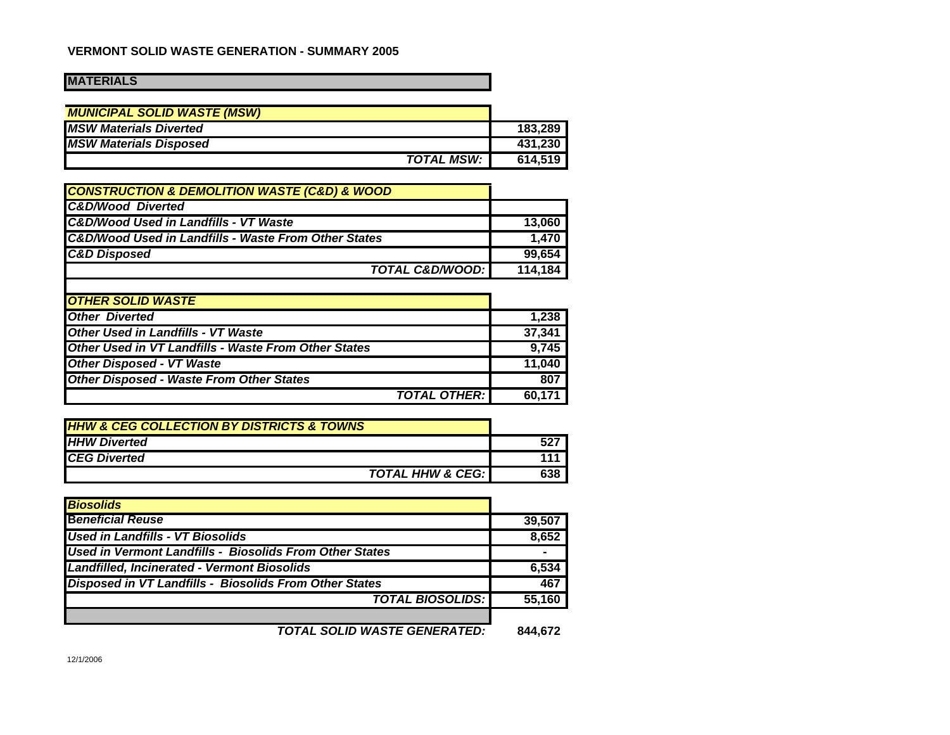#### **VERMONT SOLID WASTE GENERATION - SUMMARY 2005**

#### **MATERIALS**

| <b>MUNICIPAL SOLID WASTE (MSW)</b> |         |
|------------------------------------|---------|
| <b>MSW Materials Diverted</b>      | 183.289 |
| <b>MSW Materials Disposed</b>      | 431.230 |
| <b>TOTAL MSW:</b> I                | 614.519 |

| 13,060  |
|---------|
| 1,470   |
| 99,654  |
| 114,184 |
|         |

| <b>OTHER SOLID WASTE</b>                                    |        |
|-------------------------------------------------------------|--------|
| <b>Other Diverted</b>                                       | 1.238  |
| <b>Other Used in Landfills - VT Waste</b>                   | 37.341 |
| <b>Other Used in VT Landfills - Waste From Other States</b> | 9,745  |
| <b>Other Disposed - VT Waste</b>                            | 11.040 |
| <b>Other Disposed - Waste From Other States</b>             | 807    |
| <b>TOTAL OTHER:</b>                                         | 60,171 |

| <b>HHW &amp; CEG COLLECTION BY DISTRICTS &amp; TOWNS</b> |     |
|----------------------------------------------------------|-----|
| <b>HHW Diverted</b>                                      |     |
| <b>ICEG Diverted</b>                                     |     |
| <b>TOTAL HHW &amp; CEG:</b>                              | 638 |

| <b>Biosolids</b>                                              |         |
|---------------------------------------------------------------|---------|
| <b>Beneficial Reuse</b>                                       | 39,507  |
| <b>Used in Landfills - VT Biosolids</b>                       | 8,652   |
| Used in Vermont Landfills - Biosolids From Other States       |         |
| Landfilled, Incinerated - Vermont Biosolids                   | 6,534   |
| <b>Disposed in VT Landfills - Biosolids From Other States</b> | 467     |
| <b>TOTAL BIOSOLIDS:</b>                                       | 55,160  |
|                                                               |         |
| <b>TOTAL SOLID WASTE GENERATED:</b>                           | 844.672 |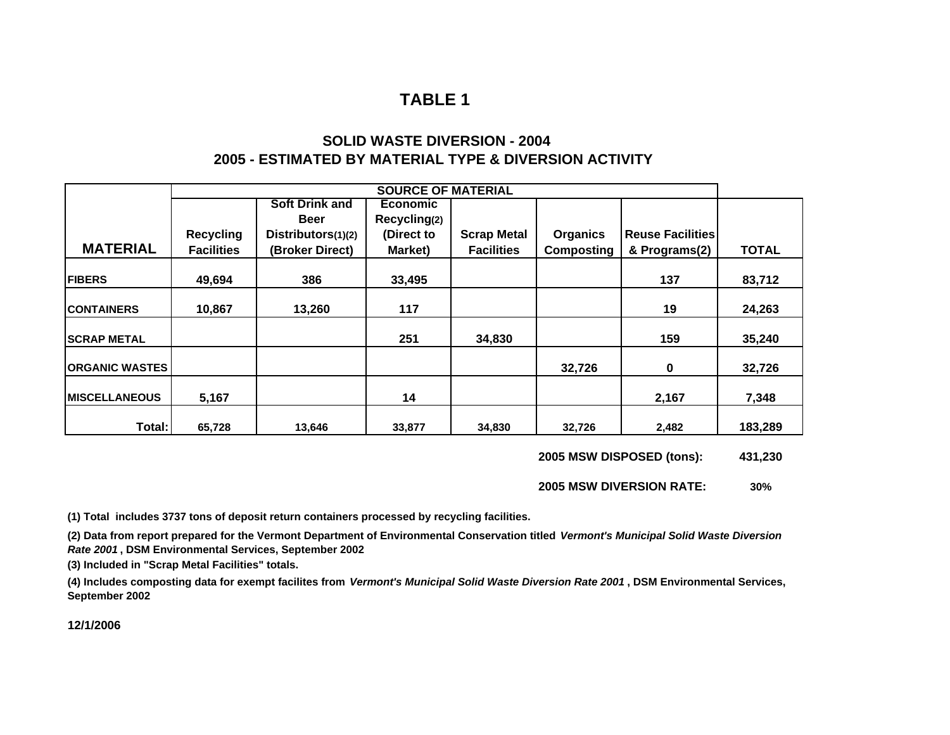#### **SOLID WASTE DIVERSION - 20042005 - ESTIMATED BY MATERIAL TYPE & DIVERSION ACTIVITY**

|                         |                   |                       | <b>SOURCE OF MATERIAL</b> |                    |                   |                         |              |
|-------------------------|-------------------|-----------------------|---------------------------|--------------------|-------------------|-------------------------|--------------|
|                         |                   | <b>Soft Drink and</b> | <b>Economic</b>           |                    |                   |                         |              |
|                         |                   | <b>Beer</b>           | Recycling(2)              |                    |                   |                         |              |
|                         | <b>Recycling</b>  | Distributors(1)(2)    | (Direct to                | <b>Scrap Metal</b> | <b>Organics</b>   | <b>Reuse Facilities</b> |              |
| <b>MATERIAL</b>         | <b>Facilities</b> | (Broker Direct)       | Market)                   | <b>Facilities</b>  | <b>Composting</b> | & Programs(2)           | <b>TOTAL</b> |
| <b>FIBERS</b>           | 49,694            | 386                   | 33,495                    |                    |                   | 137                     | 83,712       |
| <b>ICONTAINERS</b>      | 10,867            | 13,260                | 117                       |                    |                   | 19                      | 24,263       |
| <b>SCRAP METAL</b>      |                   |                       | 251                       | 34,830             |                   | 159                     | 35,240       |
| <b> ORGANIC WASTES </b> |                   |                       |                           |                    | 32,726            | $\mathbf 0$             | 32,726       |
| <b>IMISCELLANEOUS</b>   | 5,167             |                       | 14                        |                    |                   | 2,167                   | 7,348        |
| Total:                  | 65,728            | 13,646                | 33,877                    | 34,830             | 32,726            | 2,482                   | 183,289      |

**2005 MSW DISPOSED (tons): 431,230**

**2005 MSW DIVERSION RATE:30%**

**(1) Total includes 3737 tons of deposit return containers processed by recycling facilities.**

**(2) Data from report prepared for the Vermont Department of Environmental Conservation titled** *Vermont's Municipal Solid Waste Diversion Rate 2001* **, DSM Environmental Services, September 2002**

**(3) Included in "Scrap Metal Facilities" totals.**

**(4) Includes composting data for exempt facilites from** *Vermont's Municipal Solid Waste Diversion Rate 2001* **, DSM Environmental Services, September 2002**

**12/1/2006**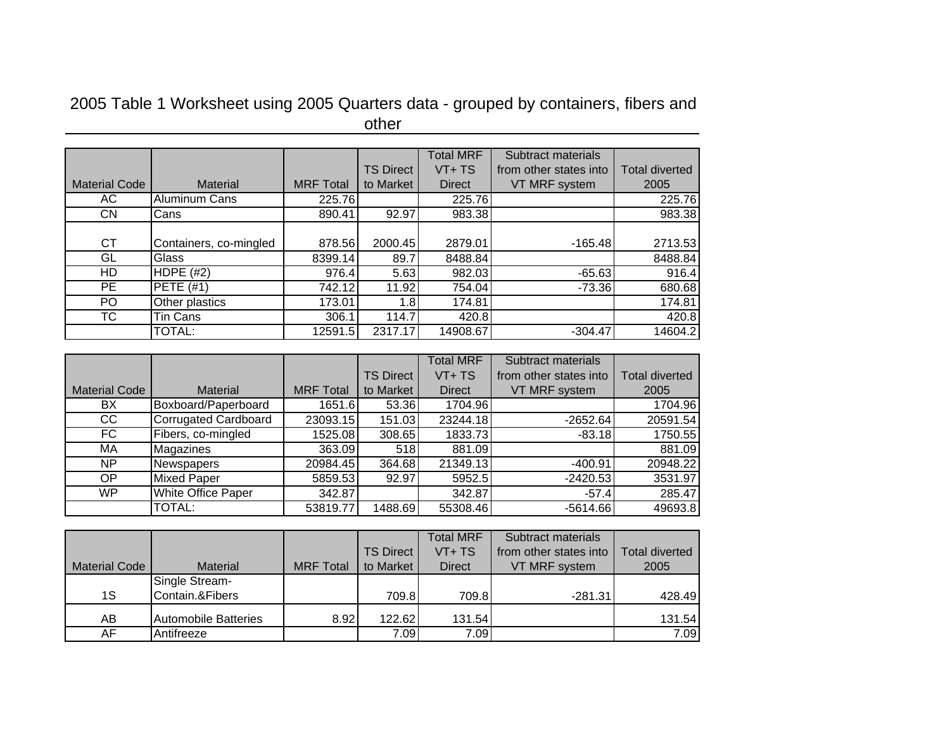## 2005 Table 1 Worksheet using 2005 Quarters data - grouped by containers, fibers and other

|                      |                        |                  |                  | <b>Total MRF</b> | Subtract materials     |                       |
|----------------------|------------------------|------------------|------------------|------------------|------------------------|-----------------------|
|                      |                        |                  | <b>TS Direct</b> | VT+ TS           | from other states into | <b>Total diverted</b> |
| <b>Material Code</b> | <b>Material</b>        | <b>MRF</b> Total | to Market        | Direct           | VT MRF system          | 2005                  |
| АC                   | Aluminum Cans          | 225.76           |                  | 225.76           |                        | 225.76                |
| CN                   | Cans                   | 890.41           | 92.97            | 983.38           |                        | 983.38                |
|                      |                        |                  |                  |                  |                        |                       |
| СT                   | Containers, co-mingled | 878.56           | 2000.45          | 2879.01          | $-165.48$              | 2713.53               |
| GL                   | Glass                  | 8399.14          | 89.7             | 8488.84          |                        | 8488.84               |
| HD                   | HDPE $(H2)$            | 976.4            | 5.63             | 982.03           | $-65.63$               | 916.4                 |
| PE.                  | <b>PETE (#1)</b>       | 742.12           | 11.92            | 754.04           | $-73.36$               | 680.68                |
| PO.                  | Other plastics         | 173.01           | 1.8              | 174.81           |                        | 174.81                |
| TC                   | Tin Cans               | 306.1            | 114.7            | 420.8            |                        | 420.8                 |
|                      | TOTAL:                 | 12591.5          | 2317.17          | 14908.67         | $-304.47$              | 14604.2               |

|                      |                             |                  |                  | <b>Total MRF</b> | Subtract materials     |                       |
|----------------------|-----------------------------|------------------|------------------|------------------|------------------------|-----------------------|
|                      |                             |                  | <b>TS Direct</b> | VT+TS            | from other states into | <b>Total diverted</b> |
| <b>Material Code</b> | <b>Material</b>             | <b>MRF</b> Total | to Market        | <b>Direct</b>    | VT MRF system          | 2005                  |
| BX                   | Boxboard/Paperboard         | 1651.6           | 53.36            | 1704.96          |                        | 1704.96               |
| CC                   | <b>Corrugated Cardboard</b> | 23093.15         | 151.03           | 23244.18         | $-2652.64$             | 20591.54              |
| FC.                  | Fibers, co-mingled          | 1525.08          | 308.65           | 1833.73          | $-83.18$               | 1750.55               |
| МA                   | <b>Magazines</b>            | 363.09           | 518              | 881.09           |                        | 881.09                |
| NP.                  | Newspapers                  | 20984.45         | 364.68           | 21349.13         | $-400.91$              | 20948.22              |
| OP                   | <b>Mixed Paper</b>          | 5859.53          | 92.97            | 5952.5           | $-2420.53$             | 3531.97               |
| <b>WP</b>            | White Office Paper          | 342.87           |                  | 342.87           | $-57.4$                | 285.47                |
|                      | <b>TOTAL:</b>               | 53819.77         | 1488.69          | 55308.46         | $-5614.66$             | 49693.8               |

|                      |                             |                  |                  | <b>Total MRF</b> | Subtract materials     |                       |
|----------------------|-----------------------------|------------------|------------------|------------------|------------------------|-----------------------|
|                      |                             |                  | <b>TS Direct</b> | $VT+TS$          | from other states into | <b>Total diverted</b> |
| <b>Material Code</b> | <b>Material</b>             | <b>MRF Total</b> | to Market        | <b>Direct</b>    | VT MRF system          | 2005                  |
|                      | Single Stream-              |                  |                  |                  |                        |                       |
| 1S                   | Contain.&Fibers             |                  | 709.8            | 709.8            | $-281.31$              | 428.49                |
| AB                   | <b>Automobile Batteries</b> | 8.92             | 122.62           | 131.54           |                        | 131.54                |
| AF                   | Antifreeze                  |                  | 7.09             | 7.09             |                        | 7.09                  |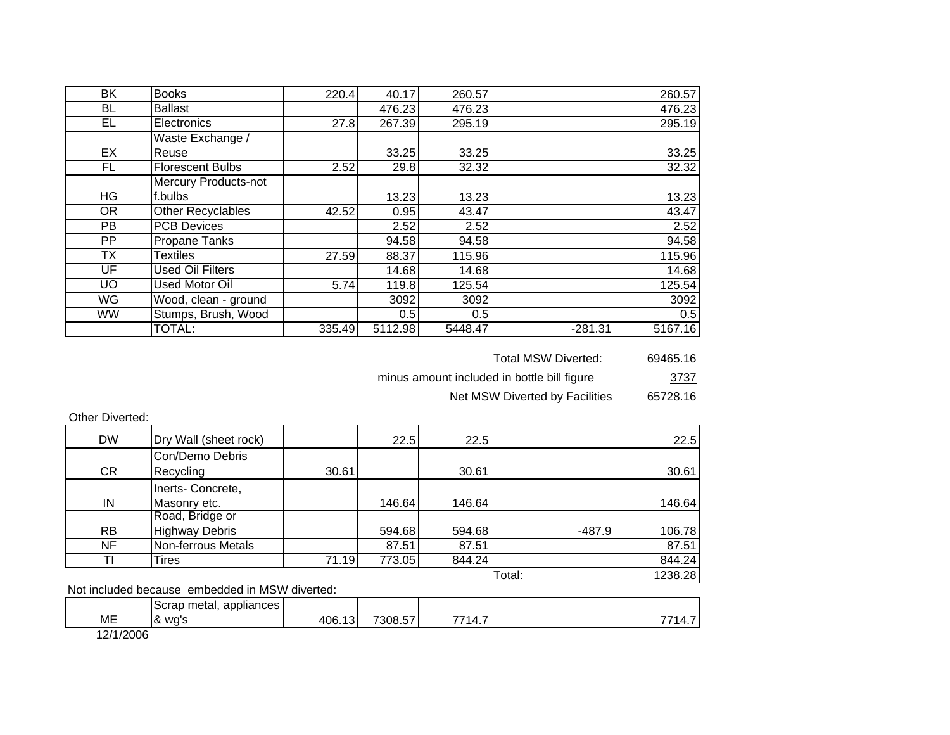| BK        | <b>Books</b>                | 220.4  | 40.17   | 260.57  |           | 260.57  |
|-----------|-----------------------------|--------|---------|---------|-----------|---------|
| BL        | <b>Ballast</b>              |        | 476.23  | 476.23  |           | 476.23  |
| EL.       | Electronics                 | 27.8   | 267.39  | 295.19  |           | 295.19  |
|           | Waste Exchange /            |        |         |         |           |         |
| EX        | Reuse                       |        | 33.25   | 33.25   |           | 33.25   |
| FL.       | <b>Florescent Bulbs</b>     | 2.52   | 29.8    | 32.32   |           | 32.32   |
|           | <b>Mercury Products-not</b> |        |         |         |           |         |
| <b>HG</b> | f.bulbs                     |        | 13.23   | 13.23   |           | 13.23   |
| <b>OR</b> | <b>Other Recyclables</b>    | 42.52  | 0.95    | 43.47   |           | 43.47   |
| PB        | <b>PCB Devices</b>          |        | 2.52    | 2.52    |           | 2.52    |
| <b>PP</b> | <b>Propane Tanks</b>        |        | 94.58   | 94.58   |           | 94.58   |
| <b>TX</b> | Textiles                    | 27.59  | 88.37   | 115.96  |           | 115.96  |
| UF        | <b>Used Oil Filters</b>     |        | 14.68   | 14.68   |           | 14.68   |
| <b>UO</b> | Used Motor Oil              | 5.74   | 119.8   | 125.54  |           | 125.54  |
| WG        | Wood, clean - ground        |        | 3092    | 3092    |           | 3092    |
| <b>WW</b> | Stumps, Brush, Wood         |        | 0.5     | 0.5     |           | 0.5     |
|           | TOTAL:                      | 335.49 | 5112.98 | 5448.47 | $-281.31$ | 5167.16 |

Total MSW Diverted: 69465.16

3737 minus amount included in bottle bill figure

> 65728.16 Net MSW Diverted by Facilities

| Other Diverted: |  |
|-----------------|--|
|                 |  |

| <b>DW</b> | Dry Wall (sheet rock)                          |       | 22.5   | 22.5   |          | 22.5   |  |
|-----------|------------------------------------------------|-------|--------|--------|----------|--------|--|
|           | Con/Demo Debris                                |       |        |        |          |        |  |
| CR        | Recycling                                      | 30.61 |        | 30.61  |          | 30.61  |  |
|           | Inerts-Concrete,                               |       |        |        |          |        |  |
| IN        | Masonry etc.                                   |       | 146.64 | 146.64 |          | 146.64 |  |
|           | Road, Bridge or                                |       |        |        |          |        |  |
| <b>RB</b> | <b>Highway Debris</b>                          |       | 594.68 | 594.68 | $-487.9$ | 106.78 |  |
| NF        | Non-ferrous Metals                             |       | 87.51  | 87.51  |          | 87.51  |  |
|           | Tires                                          | 71.19 | 773.05 | 844.24 |          | 844.24 |  |
| Total:    |                                                |       |        |        |          |        |  |
|           | Not included because embedded in MSW diverted: |       |        |        |          |        |  |
|           |                                                |       |        |        |          |        |  |

|                    | appliances<br>$m \wedge m$<br>чнекан.<br>.JUI dD |            |                        |    |              |
|--------------------|--------------------------------------------------|------------|------------------------|----|--------------|
| ME                 | 1&<br>∴ wu.<br>wu                                | ۱∩۵<br>٠UΟ | $- -$<br>7000<br>או וא | т. | . . <i>.</i> |
| $1 - 11111 - 1211$ |                                                  |            |                        |    |              |

12/1/2006

 $\mathsf{L}$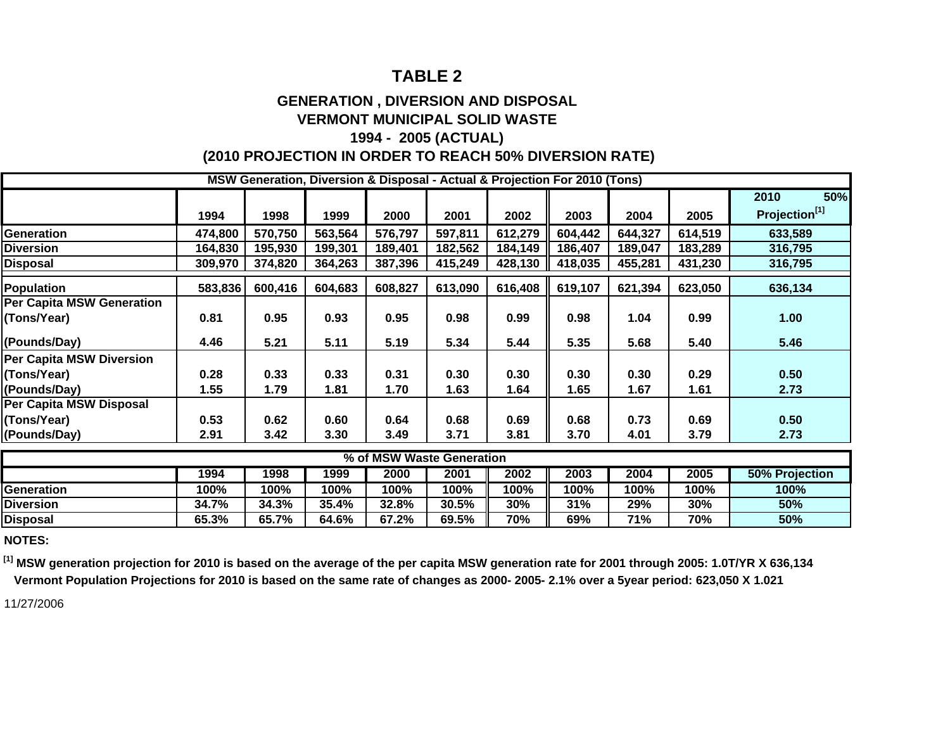#### **GENERATION , DIVERSION AND DISPOSAL VERMONT MUNICIPAL SOLID WASTE**

#### **1994 - 2005 (ACTUAL) (2010 PROJECTION IN ORDER TO REACH 50% DIVERSION RATE)**

|                                  |         |         |         |                           |         | MSW Generation, Diversion & Disposal - Actual & Projection For 2010 (Tons) |         |         |         |                           |
|----------------------------------|---------|---------|---------|---------------------------|---------|----------------------------------------------------------------------------|---------|---------|---------|---------------------------|
|                                  |         |         |         |                           |         |                                                                            |         |         |         | 50%<br>2010               |
|                                  | 1994    | 1998    | 1999    | 2000                      | 2001    | 2002                                                                       | 2003    | 2004    | 2005    | Projection <sup>[1]</sup> |
| <b>Generation</b>                | 474,800 | 570,750 | 563,564 | 576,797                   | 597,811 | 612,279                                                                    | 604,442 | 644,327 | 614,519 | 633,589                   |
| <b>Diversion</b>                 | 164,830 | 195,930 | 199,301 | 189,401                   | 182,562 | 184,149                                                                    | 186,407 | 189,047 | 183,289 | 316,795                   |
| <b>Disposal</b>                  | 309,970 | 374,820 | 364,263 | 387,396                   | 415,249 | 428,130                                                                    | 418,035 | 455,281 | 431,230 | 316,795                   |
| <b>Population</b>                | 583,836 | 600,416 | 604,683 | 608,827                   | 613,090 | 616,408                                                                    | 619,107 | 621,394 | 623,050 | 636,134                   |
| <b>Per Capita MSW Generation</b> |         |         |         |                           |         |                                                                            |         |         |         |                           |
| (Tons/Year)                      | 0.81    | 0.95    | 0.93    | 0.95                      | 0.98    | 0.99                                                                       | 0.98    | 1.04    | 0.99    | 1.00                      |
| (Pounds/Day)                     | 4.46    | 5.21    | 5.11    | 5.19                      | 5.34    | 5.44                                                                       | 5.35    | 5.68    | 5.40    | 5.46                      |
| <b>Per Capita MSW Diversion</b>  |         |         |         |                           |         |                                                                            |         |         |         |                           |
| (Tons/Year)                      | 0.28    | 0.33    | 0.33    | 0.31                      | 0.30    | 0.30                                                                       | 0.30    | 0.30    | 0.29    | 0.50                      |
| (Pounds/Day)                     | 1.55    | 1.79    | 1.81    | 1.70                      | 1.63    | 1.64                                                                       | 1.65    | 1.67    | 1.61    | 2.73                      |
| Per Capita MSW Disposal          |         |         |         |                           |         |                                                                            |         |         |         |                           |
| (Tons/Year)                      | 0.53    | 0.62    | 0.60    | 0.64                      | 0.68    | 0.69                                                                       | 0.68    | 0.73    | 0.69    | 0.50                      |
| (Pounds/Day)                     | 2.91    | 3.42    | 3.30    | 3.49                      | 3.71    | 3.81                                                                       | 3.70    | 4.01    | 3.79    | 2.73                      |
|                                  |         |         |         | % of MSW Waste Generation |         |                                                                            |         |         |         |                           |
|                                  | 1994    | 1998    | 1999    | 2000                      | 2001    | 2002                                                                       | 2003    | 2004    | 2005    | 50% Projection            |
| <b>Generation</b>                | 100%    | 100%    | 100%    | 100%                      | 100%    | 100%                                                                       | 100%    | 100%    | 100%    | 100%                      |
| <b>Diversion</b>                 | 34.7%   | 34.3%   | 35.4%   | 32.8%                     | 30.5%   | 30%                                                                        | 31%     | 29%     | 30%     | 50%                       |
| <b>Disposal</b>                  | 65.3%   | 65.7%   | 64.6%   | 67.2%                     | 69.5%   | 70%                                                                        | 69%     | 71%     | 70%     | 50%                       |

**NOTES:**

**[1] MSW generation projection for 2010 is based on the average of the per capita MSW generation rate for 2001 through 2005: 1.0T/YR X 636,134 Vermont Population Projections for 2010 is based on the same rate of changes as 2000- 2005- 2.1% over a 5year period: 623,050 X 1.021**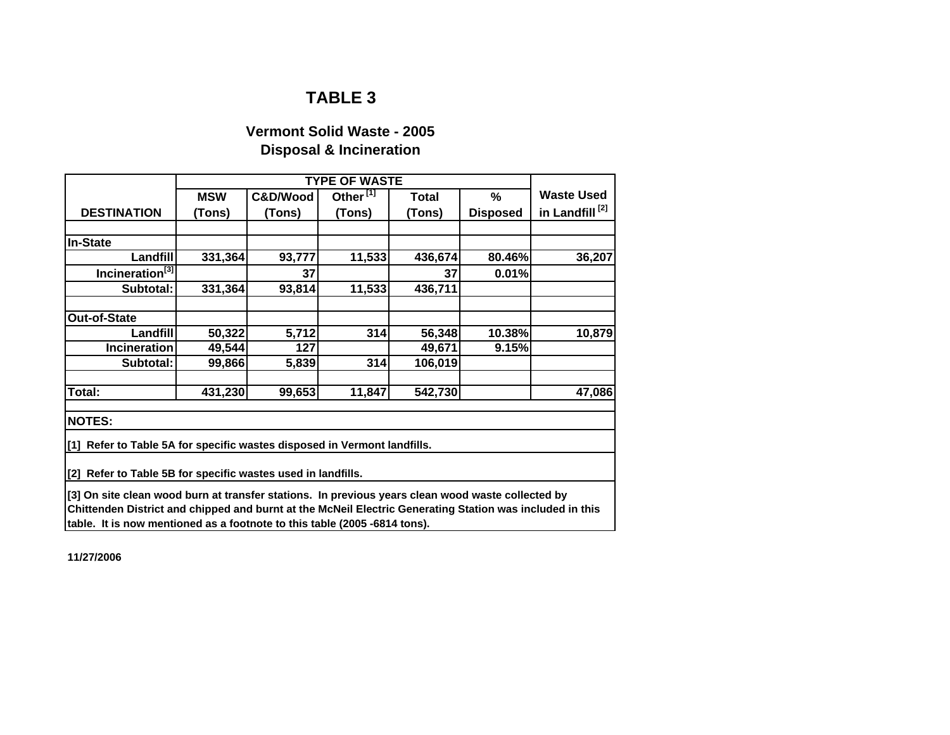#### **Vermont Solid Waste - 2005 Disposal & Incineration**

|                                                                                                          |            | <b>TYPE OF WASTE</b> |                      |         |                 |                            |
|----------------------------------------------------------------------------------------------------------|------------|----------------------|----------------------|---------|-----------------|----------------------------|
|                                                                                                          | <b>MSW</b> | C&D/Wood             | Other <sup>[1]</sup> | Total   | %               | <b>Waste Used</b>          |
| <b>DESTINATION</b>                                                                                       | (Tons)     | (Tons)               | (Tons)               | (Tons)  | <b>Disposed</b> | in Landfill <sup>[2]</sup> |
|                                                                                                          |            |                      |                      |         |                 |                            |
| <b>In-State</b>                                                                                          |            |                      |                      |         |                 |                            |
| Landfill                                                                                                 | 331,364    | 93,777               | 11,533               | 436,674 | 80.46%          | 36,207                     |
| Incineration <sup>[3]</sup>                                                                              |            | 37                   |                      | 37      | 0.01%           |                            |
| Subtotal:                                                                                                | 331,364    | 93,814               | 11,533               | 436,711 |                 |                            |
|                                                                                                          |            |                      |                      |         |                 |                            |
| Out-of-State                                                                                             |            |                      |                      |         |                 |                            |
| Landfill                                                                                                 | 50,322     | 5,712                | 314                  | 56,348  | 10.38%          | 10,879                     |
| <b>Incineration</b>                                                                                      | 49,544     | 127                  |                      | 49,671  | 9.15%           |                            |
| Subtotal:                                                                                                | 99,866     | 5,839                | 314                  | 106,019 |                 |                            |
|                                                                                                          |            |                      |                      |         |                 |                            |
| Total:                                                                                                   | 431,230    | 99,653               | 11,847               | 542,730 |                 | 47,086                     |
| <b>NOTES:</b>                                                                                            |            |                      |                      |         |                 |                            |
|                                                                                                          |            |                      |                      |         |                 |                            |
| [1] Refer to Table 5A for specific wastes disposed in Vermont landfills.                                 |            |                      |                      |         |                 |                            |
|                                                                                                          |            |                      |                      |         |                 |                            |
| [2] Refer to Table 5B for specific wastes used in landfills.                                             |            |                      |                      |         |                 |                            |
| [3] On site clean wood burn at transfer stations. In previous years clean wood waste collected by        |            |                      |                      |         |                 |                            |
| Chittenden District and chipped and burnt at the McNeil Electric Generating Station was included in this |            |                      |                      |         |                 |                            |
| table. It is now mentioned as a footnote to this table (2005 -6814 tons).                                |            |                      |                      |         |                 |                            |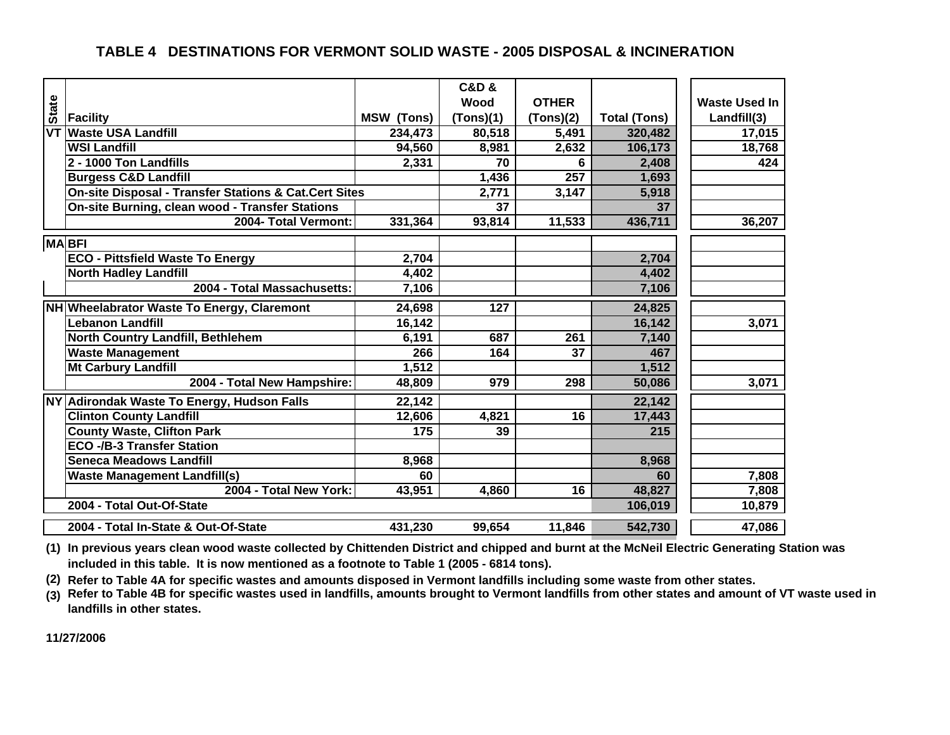#### **TABLE 4 DESTINATIONS FOR VERMONT SOLID WASTE - 2005 DISPOSAL & INCINERATION**

|              |                                                       |                   | <b>C&amp;D &amp;</b> |                 |                     |                      |
|--------------|-------------------------------------------------------|-------------------|----------------------|-----------------|---------------------|----------------------|
|              |                                                       |                   |                      |                 |                     |                      |
| <b>State</b> |                                                       |                   | Wood                 | <b>OTHER</b>    |                     | <b>Waste Used In</b> |
|              | Facility                                              | <b>MSW (Tons)</b> | (Tons)(1)            | (Tons)(2)       | <b>Total (Tons)</b> | Landfill(3)          |
| <b>VT</b>    | <b>Waste USA Landfill</b>                             | 234,473           | 80,518               | 5,491           | 320,482             | 17,015               |
|              | <b>WSI Landfill</b>                                   | 94,560            | 8,981                | 2,632           | 106,173             | 18,768               |
|              | 2 - 1000 Ton Landfills                                | 2,331             | 70                   | 6               | 2,408               | 424                  |
|              | <b>Burgess C&amp;D Landfill</b>                       |                   | 1,436                | 257             | 1,693               |                      |
|              | On-site Disposal - Transfer Stations & Cat.Cert Sites |                   | 2,771                | 3,147           | 5,918               |                      |
|              | On-site Burning, clean wood - Transfer Stations       |                   | 37                   |                 | 37                  |                      |
|              | 2004- Total Vermont:                                  | 331,364           | 93,814               | 11,533          | 436,711             | 36,207               |
|              | <b>MABFI</b>                                          |                   |                      |                 |                     |                      |
|              | <b>ECO - Pittsfield Waste To Energy</b>               | 2,704             |                      |                 | 2,704               |                      |
|              | <b>North Hadley Landfill</b>                          | 4,402             |                      |                 | 4,402               |                      |
|              | 2004 - Total Massachusetts:                           | 7,106             |                      |                 | 7,106               |                      |
|              | NH Wheelabrator Waste To Energy, Claremont            | 24,698            | 127                  |                 | 24,825              |                      |
|              | Lebanon Landfill                                      | 16,142            |                      |                 | 16,142              | 3,071                |
|              | North Country Landfill, Bethlehem                     | 6,191             | 687                  | 261             | 7,140               |                      |
|              | <b>Waste Management</b>                               | 266               | 164                  | 37              | 467                 |                      |
|              | <b>Mt Carbury Landfill</b>                            | 1,512             |                      |                 | 1,512               |                      |
|              | 2004 - Total New Hampshire:                           | 48,809            | 979                  | 298             | 50,086              | 3,071                |
| <b>NY</b>    | <b>Adirondak Waste To Energy, Hudson Falls</b>        | 22,142            |                      |                 | 22,142              |                      |
|              | <b>Clinton County Landfill</b>                        | 12,606            | 4,821                | $\overline{16}$ | 17,443              |                      |
|              | <b>County Waste, Clifton Park</b>                     | 175               | 39                   |                 | 215                 |                      |
|              | <b>ECO -/B-3 Transfer Station</b>                     |                   |                      |                 |                     |                      |
|              | Seneca Meadows Landfill                               | 8,968             |                      |                 | 8,968               |                      |
|              | <b>Waste Management Landfill(s)</b>                   | 60                |                      |                 | 60                  | 7,808                |
|              | 2004 - Total New York:                                | 43,951            | 4,860                | 16              | 48,827              | 7,808                |
|              | 2004 - Total Out-Of-State                             |                   |                      |                 | 106,019             | 10,879               |
|              | 2004 - Total In-State & Out-Of-State                  | 431,230           | 99,654               | 11,846          | 542,730             | 47,086               |

**(1) In previous years clean wood waste collected by Chittenden District and chipped and burnt at the McNeil Electric Generating Station was included in this table. It is now mentioned as a footnote to Table 1 (2005 - 6814 tons).**

**(2) Refer to Table 4A for specific wastes and amounts disposed in Vermont landfills including some waste from other states.**

**(3) Refer to Table 4B for specific wastes used in landfills, amounts brought to Vermont landfills from other states and amount of VT waste used in landfills in other states.**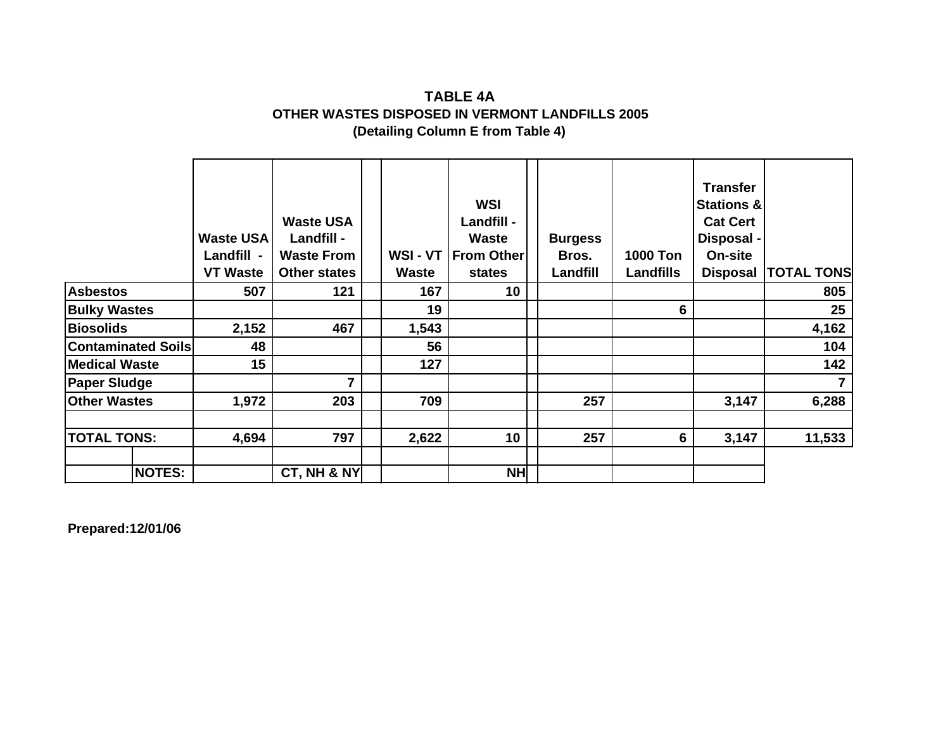#### **(Detailing Column E from Table 4) OTHER WASTES DISPOSED IN VERMONT LANDFILLS 2005 TABLE 4A**

|                           |               | <b>Waste USA</b><br>Landfill -<br><b>VT Waste</b> | <b>Waste USA</b><br>Landfill -<br><b>Waste From</b><br><b>Other states</b> | WSI-VT<br>Waste | <b>WSI</b><br><b>Landfill -</b><br><b>Waste</b><br><b>From Other</b><br>states | <b>Burgess</b><br>Bros.<br>Landfill | <b>1000 Ton</b><br><b>Landfills</b> | <b>Transfer</b><br><b>Stations &amp;</b><br><b>Cat Cert</b><br>Disposal -<br>On-site<br><b>Disposal</b> | <b>TOTAL TONS</b> |
|---------------------------|---------------|---------------------------------------------------|----------------------------------------------------------------------------|-----------------|--------------------------------------------------------------------------------|-------------------------------------|-------------------------------------|---------------------------------------------------------------------------------------------------------|-------------------|
| <b>Asbestos</b>           |               | 507                                               | 121                                                                        | 167             | 10                                                                             |                                     |                                     |                                                                                                         | 805               |
| <b>Bulky Wastes</b>       |               |                                                   |                                                                            | 19              |                                                                                |                                     | 6                                   |                                                                                                         | 25                |
| <b>Biosolids</b>          |               | 2,152                                             | 467                                                                        | 1,543           |                                                                                |                                     |                                     |                                                                                                         | 4,162             |
| <b>Contaminated Soils</b> |               | 48                                                |                                                                            | 56              |                                                                                |                                     |                                     |                                                                                                         | 104               |
| <b>Medical Waste</b>      |               | 15                                                |                                                                            | 127             |                                                                                |                                     |                                     |                                                                                                         | 142               |
| <b>Paper Sludge</b>       |               |                                                   | 7                                                                          |                 |                                                                                |                                     |                                     |                                                                                                         |                   |
| <b>Other Wastes</b>       |               | 1,972                                             | 203                                                                        | 709             |                                                                                | 257                                 |                                     | 3,147                                                                                                   | 6,288             |
| <b>TOTAL TONS:</b>        |               | 4,694                                             | 797                                                                        | 2,622           | 10                                                                             | 257                                 | 6                                   | 3,147                                                                                                   | 11,533            |
|                           | <b>NOTES:</b> |                                                   | CT, NH & NY                                                                |                 | <b>NH</b>                                                                      |                                     |                                     |                                                                                                         |                   |

**Prepared:12/01/06**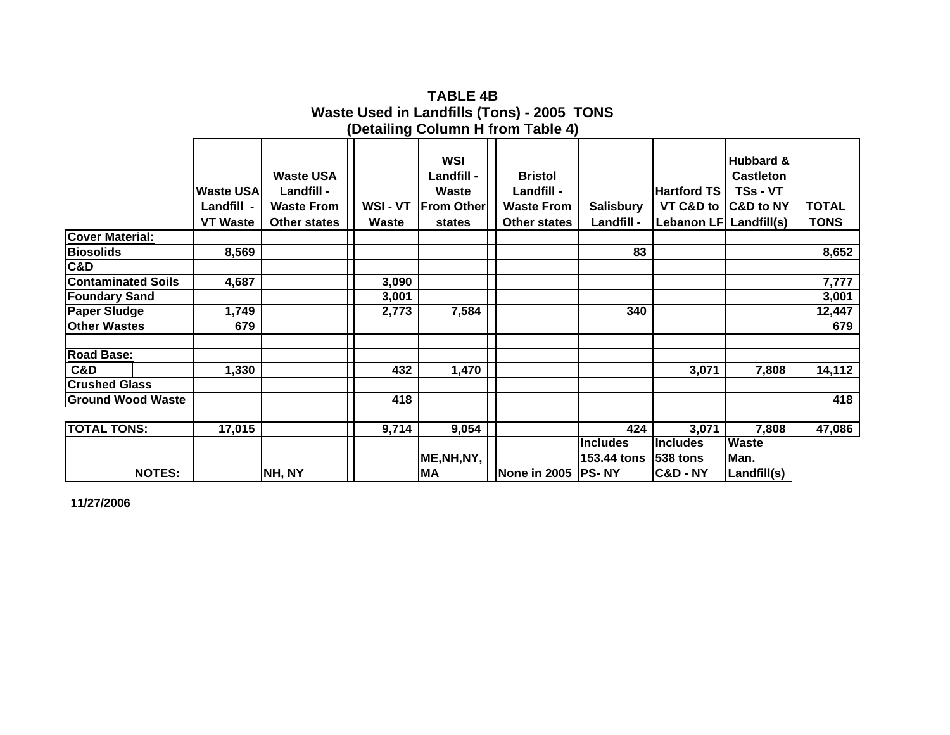|                           |                                                   |                                                                            |                 |                                                           | (Detailing Column H from Table 4)                                        |                                |                                                             |                                                                   |                      |
|---------------------------|---------------------------------------------------|----------------------------------------------------------------------------|-----------------|-----------------------------------------------------------|--------------------------------------------------------------------------|--------------------------------|-------------------------------------------------------------|-------------------------------------------------------------------|----------------------|
|                           | <b>Waste USA</b><br>Landfill -<br><b>VT Waste</b> | <b>Waste USA</b><br>Landfill -<br><b>Waste From</b><br><b>Other states</b> | WSI-VT<br>Waste | WSI<br>Landfill -<br>Waste<br><b>From Other</b><br>states | <b>Bristol</b><br>Landfill -<br><b>Waste From</b><br><b>Other states</b> | <b>Salisbury</b><br>Landfill - | <b>Hartford TS</b><br>VT C&D to<br>Lebanon LF   Landfill(s) | Hubbard &<br><b>Castleton</b><br>TSs - VT<br><b>C&amp;D to NY</b> | TOTAL<br><b>TONS</b> |
| <b>Cover Material:</b>    |                                                   |                                                                            |                 |                                                           |                                                                          |                                |                                                             |                                                                   |                      |
| <b>Biosolids</b>          | 8,569                                             |                                                                            |                 |                                                           |                                                                          | 83                             |                                                             |                                                                   | 8,652                |
| C&D                       |                                                   |                                                                            |                 |                                                           |                                                                          |                                |                                                             |                                                                   |                      |
| <b>Contaminated Soils</b> | 4,687                                             |                                                                            | 3,090           |                                                           |                                                                          |                                |                                                             |                                                                   | 7,777                |
| <b>Foundary Sand</b>      |                                                   |                                                                            | 3,001           |                                                           |                                                                          |                                |                                                             |                                                                   | 3,001                |
| <b>Paper Sludge</b>       | 1,749                                             |                                                                            | 2,773           | 7,584                                                     |                                                                          | 340                            |                                                             |                                                                   | 12,447               |
| <b>Other Wastes</b>       | 679                                               |                                                                            |                 |                                                           |                                                                          |                                |                                                             |                                                                   | 679                  |
|                           |                                                   |                                                                            |                 |                                                           |                                                                          |                                |                                                             |                                                                   |                      |
| <b>Road Base:</b>         |                                                   |                                                                            |                 |                                                           |                                                                          |                                |                                                             |                                                                   |                      |
| C&D                       | 1,330                                             |                                                                            | 432             | 1,470                                                     |                                                                          |                                | 3,071                                                       | 7,808                                                             | 14,112               |
| <b>Crushed Glass</b>      |                                                   |                                                                            |                 |                                                           |                                                                          |                                |                                                             |                                                                   |                      |
| <b>Ground Wood Waste</b>  |                                                   |                                                                            | 418             |                                                           |                                                                          |                                |                                                             |                                                                   | 418                  |
|                           |                                                   |                                                                            |                 |                                                           |                                                                          |                                |                                                             |                                                                   |                      |
| <b>TOTAL TONS:</b>        | 17,015                                            |                                                                            | 9,714           | 9,054                                                     |                                                                          | 424                            | 3,071                                                       | 7,808                                                             | 47,086               |
|                           |                                                   |                                                                            |                 |                                                           |                                                                          | <b>Includes</b>                | <b>Includes</b>                                             | <b>Waste</b>                                                      |                      |
|                           |                                                   |                                                                            |                 | ME, NH, NY,                                               |                                                                          | 153.44 tons                    | <b>538 tons</b>                                             | Man.                                                              |                      |
| <b>NOTES:</b>             |                                                   | NH, NY                                                                     |                 | <b>MA</b>                                                 | None in 2005  PS-NY                                                      |                                | <b>C&amp;D-NY</b>                                           | Landfill(s)                                                       |                      |

**Waste Used in Landfills (Tons) - 2005 TONS (Detailing Column H from Table 4) TABLE 4B**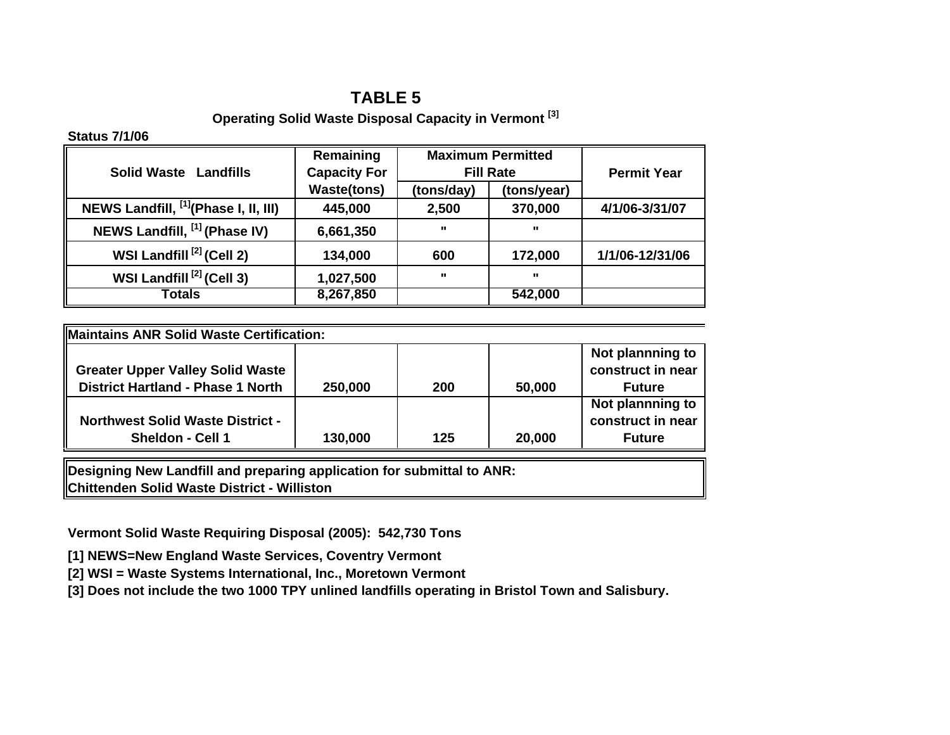#### **Operating Solid Waste Disposal Capacity in Vermont [3]**

#### **Status 7/1/06**

| <b>Solid Waste Landfills</b>                     | Remaining<br><b>Capacity For</b> |              | <b>Maximum Permitted</b><br><b>Fill Rate</b> | <b>Permit Year</b> |
|--------------------------------------------------|----------------------------------|--------------|----------------------------------------------|--------------------|
|                                                  | <b>Waste(tons)</b>               | (tons/day)   | (tons/year)                                  |                    |
| NEWS Landfill, <sup>[1]</sup> (Phase I, II, III) | 445,000                          | 2,500        | 370,000                                      | 4/1/06-3/31/07     |
| NEWS Landfill, [1] (Phase IV)                    | 6,661,350                        | $\mathbf{u}$ | $\mathbf{u}$                                 |                    |
| WSI Landfill <sup>[2]</sup> (Cell 2)             | 134,000                          | 600          | 172,000                                      | 1/1/06-12/31/06    |
| WSI Landfill <sup>[2]</sup> (Cell 3)             | 1,027,500                        | $\mathbf{H}$ | $\mathbf{u}$                                 |                    |
| <b>Totals</b>                                    | 8,267,850                        |              | 542,000                                      |                    |

| Maintains ANR Solid Waste Certification:                               |         |     |        |                   |  |  |  |  |  |  |  |
|------------------------------------------------------------------------|---------|-----|--------|-------------------|--|--|--|--|--|--|--|
|                                                                        |         |     |        | Not plannning to  |  |  |  |  |  |  |  |
| <b>Greater Upper Valley Solid Waste</b>                                |         |     |        | construct in near |  |  |  |  |  |  |  |
| <b>District Hartland - Phase 1 North</b>                               | 250,000 | 200 | 50,000 | <b>Future</b>     |  |  |  |  |  |  |  |
|                                                                        |         |     |        | Not plannning to  |  |  |  |  |  |  |  |
| <b>Northwest Solid Waste District -</b>                                |         |     |        | construct in near |  |  |  |  |  |  |  |
| Sheldon - Cell 1                                                       | 130,000 | 125 | 20,000 | <b>Future</b>     |  |  |  |  |  |  |  |
| Designing New Landfill and preparing application for submittal to ANR: |         |     |        |                   |  |  |  |  |  |  |  |

**Chittenden Solid Waste District - Williston**

**Vermont Solid Waste Requiring Disposal (2005): 542,730 Tons**

**[1] NEWS=New England Waste Services, Coventry Vermont**

**[2] WSI = Waste Systems International, Inc., Moretown Vermont**

**[3] Does not include the two 1000 TPY unlined landfills operating in Bristol Town and Salisbury.**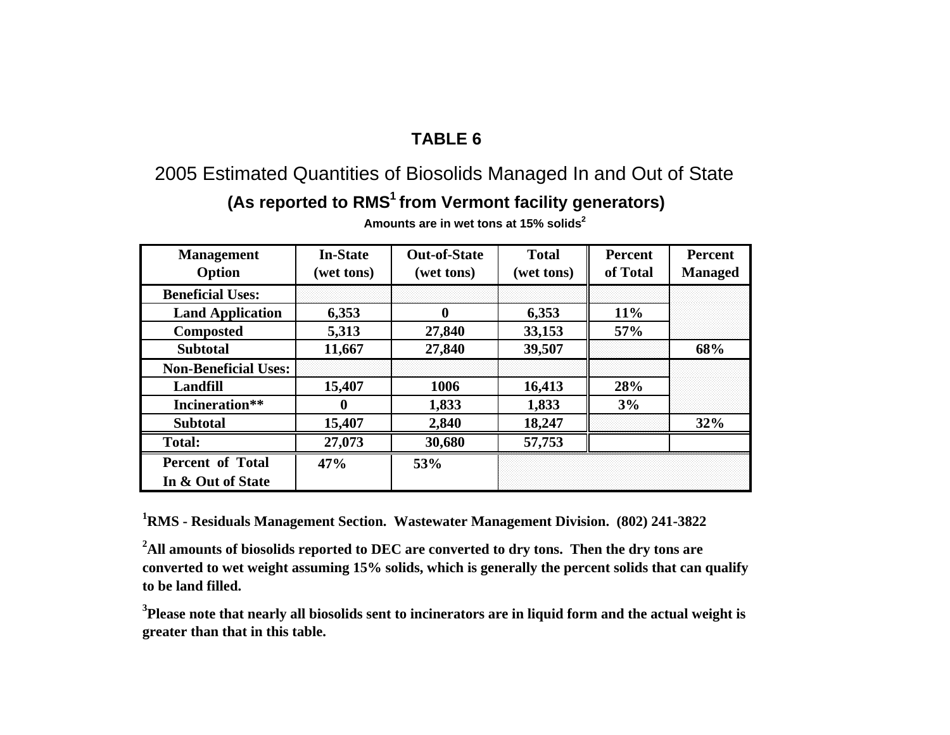# 2005 Estimated Quantities of Biosolids Managed In and Out of State

# **(As reported to RMS1 from Vermont facility generators)**

| <b>Management</b><br>Option | <b>In-State</b><br>(wet tons) | <b>Out-of-State</b><br>(wet tons) | <b>Total</b><br>(wet tons) | <b>Percent</b><br>of Total | <b>Percent</b><br><b>Managed</b> |  |
|-----------------------------|-------------------------------|-----------------------------------|----------------------------|----------------------------|----------------------------------|--|
| <b>Beneficial Uses:</b>     |                               |                                   |                            |                            |                                  |  |
| <b>Land Application</b>     | 6,353                         | 0                                 | 6,353                      | 11%                        |                                  |  |
| <b>Composted</b>            | 5,313                         | 27,840                            | 33,153                     | 57%                        |                                  |  |
| <b>Subtotal</b>             | 11,667                        | 27,840                            | 39,507                     |                            | 68%                              |  |
| <b>Non-Beneficial Uses:</b> |                               |                                   |                            |                            |                                  |  |
| <b>Landfill</b>             | 15,407                        | 1006                              | 16,413                     | 28%                        |                                  |  |
| Incineration**              | O                             | 1,833                             | 1,833                      | 3%                         |                                  |  |
| <b>Subtotal</b>             | 15,407                        | 2,840                             | 18,247                     |                            | 32%                              |  |
| <b>Total:</b>               | 27,073                        | 30,680                            | 57,753                     |                            |                                  |  |
| <b>Percent of Total</b>     | 47%                           | 53%                               |                            |                            |                                  |  |
| In & Out of State           |                               |                                   |                            |                            |                                  |  |

**Amounts are in wet tons at 15% solids<sup>2</sup>**

**1RMS - Residuals Management Section. Wastewater Management Division. (802) 241-3822**

<sup>2</sup>All amounts of biosolids reported to DEC are converted to dry tons. Then the dry tons are **converted to wet weight assuming 15% solids, which is generally the percent solids that can qualify to be land filled.**

**3Please note that nearly all biosolids sent to incinerators are in liquid form and the actual weight is greater than that in this table.**